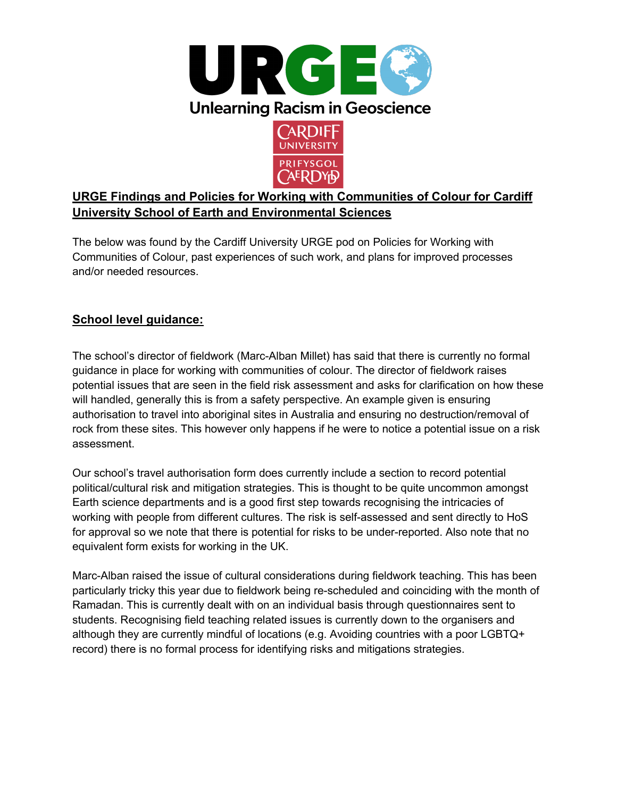



### **URGE Findings and Policies for Working with Communities of Colour for Cardiff University School of Earth and Environmental Sciences**

The below was found by the Cardiff University URGE pod on Policies for Working with Communities of Colour, past experiences of such work, and plans for improved processes and/or needed resources.

### **School level guidance:**

The school's director of fieldwork (Marc-Alban Millet) has said that there is currently no formal guidance in place for working with communities of colour. The director of fieldwork raises potential issues that are seen in the field risk assessment and asks for clarification on how these will handled, generally this is from a safety perspective. An example given is ensuring authorisation to travel into aboriginal sites in Australia and ensuring no destruction/removal of rock from these sites. This however only happens if he were to notice a potential issue on a risk assessment.

Our school's travel authorisation form does currently include a section to record potential political/cultural risk and mitigation strategies. This is thought to be quite uncommon amongst Earth science departments and is a good first step towards recognising the intricacies of working with people from different cultures. The risk is self-assessed and sent directly to HoS for approval so we note that there is potential for risks to be under-reported. Also note that no equivalent form exists for working in the UK.

Marc-Alban raised the issue of cultural considerations during fieldwork teaching. This has been particularly tricky this year due to fieldwork being re-scheduled and coinciding with the month of Ramadan. This is currently dealt with on an individual basis through questionnaires sent to students. Recognising field teaching related issues is currently down to the organisers and although they are currently mindful of locations (e.g. Avoiding countries with a poor LGBTQ+ record) there is no formal process for identifying risks and mitigations strategies.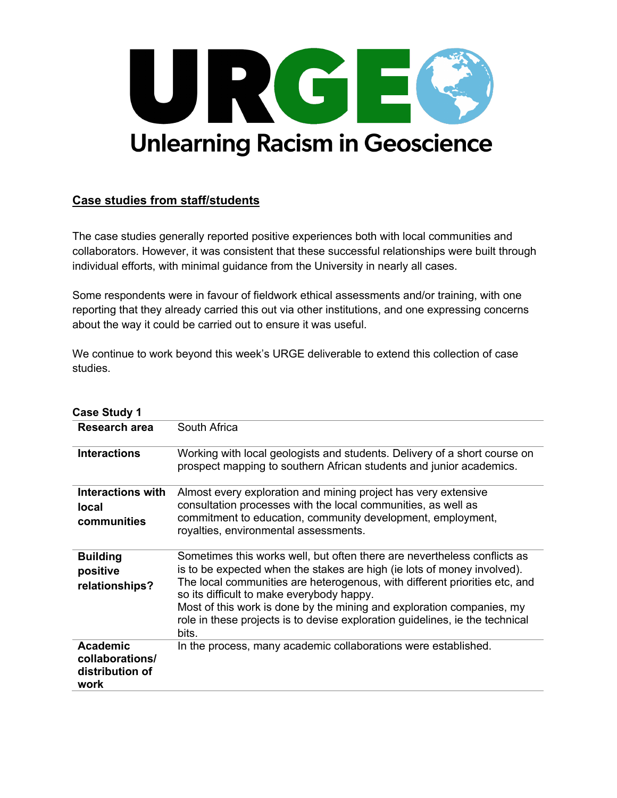

#### **Case studies from staff/students**

The case studies generally reported positive experiences both with local communities and collaborators. However, it was consistent that these successful relationships were built through individual efforts, with minimal guidance from the University in nearly all cases.

Some respondents were in favour of fieldwork ethical assessments and/or training, with one reporting that they already carried this out via other institutions, and one expressing concerns about the way it could be carried out to ensure it was useful.

We continue to work beyond this week's URGE deliverable to extend this collection of case studies.

| <b>Case Study 1</b>                                           |                                                                                                                                                                                                                                                                                                                                                                                                                                                  |
|---------------------------------------------------------------|--------------------------------------------------------------------------------------------------------------------------------------------------------------------------------------------------------------------------------------------------------------------------------------------------------------------------------------------------------------------------------------------------------------------------------------------------|
| Research area                                                 | South Africa                                                                                                                                                                                                                                                                                                                                                                                                                                     |
| <b>Interactions</b>                                           | Working with local geologists and students. Delivery of a short course on<br>prospect mapping to southern African students and junior academics.                                                                                                                                                                                                                                                                                                 |
| <b>Interactions with</b><br>local<br>communities              | Almost every exploration and mining project has very extensive<br>consultation processes with the local communities, as well as<br>commitment to education, community development, employment,<br>royalties, environmental assessments.                                                                                                                                                                                                          |
| <b>Building</b><br>positive<br>relationships?                 | Sometimes this works well, but often there are nevertheless conflicts as<br>is to be expected when the stakes are high (ie lots of money involved).<br>The local communities are heterogenous, with different priorities etc, and<br>so its difficult to make everybody happy.<br>Most of this work is done by the mining and exploration companies, my<br>role in these projects is to devise exploration guidelines, ie the technical<br>bits. |
| <b>Academic</b><br>collaborations/<br>distribution of<br>work | In the process, many academic collaborations were established.                                                                                                                                                                                                                                                                                                                                                                                   |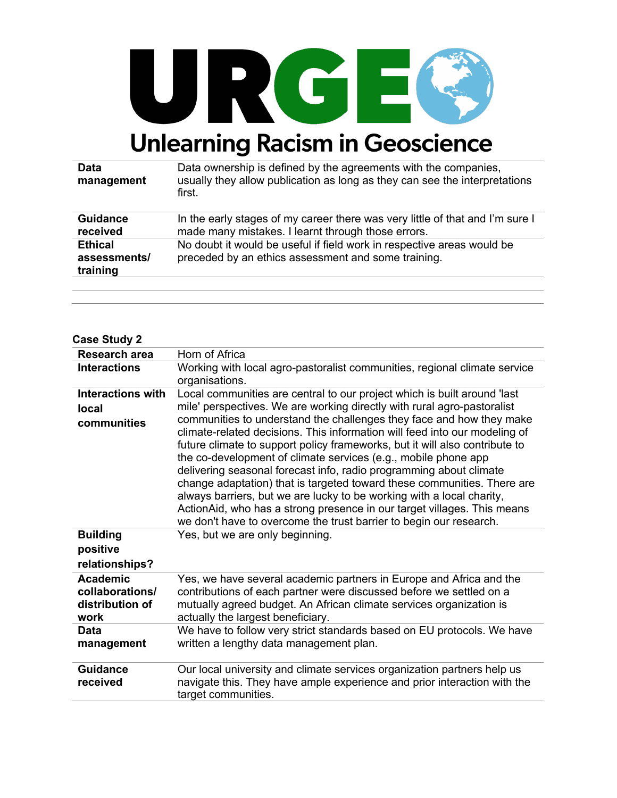

| <b>Data</b><br>management | Data ownership is defined by the agreements with the companies,<br>usually they allow publication as long as they can see the interpretations<br>first. |
|---------------------------|---------------------------------------------------------------------------------------------------------------------------------------------------------|
| <b>Guidance</b>           | In the early stages of my career there was very little of that and I'm sure I                                                                           |
| received                  | made many mistakes. I learnt through those errors.                                                                                                      |
| <b>Ethical</b>            | No doubt it would be useful if field work in respective areas would be                                                                                  |
| assessments/              | preceded by an ethics assessment and some training.                                                                                                     |
| training                  |                                                                                                                                                         |
|                           |                                                                                                                                                         |

#### **Case Study 2**

| <b>Research area</b>                                          | Horn of Africa                                                                                                                                                                                                                                                                                                                                                                                                                                                                                                                                                                                                                                                                 |
|---------------------------------------------------------------|--------------------------------------------------------------------------------------------------------------------------------------------------------------------------------------------------------------------------------------------------------------------------------------------------------------------------------------------------------------------------------------------------------------------------------------------------------------------------------------------------------------------------------------------------------------------------------------------------------------------------------------------------------------------------------|
| <b>Interactions</b>                                           | Working with local agro-pastoralist communities, regional climate service<br>organisations.                                                                                                                                                                                                                                                                                                                                                                                                                                                                                                                                                                                    |
| <b>Interactions with</b>                                      | Local communities are central to our project which is built around 'last                                                                                                                                                                                                                                                                                                                                                                                                                                                                                                                                                                                                       |
| <b>local</b>                                                  | mile' perspectives. We are working directly with rural agro-pastoralist                                                                                                                                                                                                                                                                                                                                                                                                                                                                                                                                                                                                        |
| communities                                                   | communities to understand the challenges they face and how they make<br>climate-related decisions. This information will feed into our modeling of<br>future climate to support policy frameworks, but it will also contribute to<br>the co-development of climate services (e.g., mobile phone app<br>delivering seasonal forecast info, radio programming about climate<br>change adaptation) that is targeted toward these communities. There are<br>always barriers, but we are lucky to be working with a local charity,<br>ActionAid, who has a strong presence in our target villages. This means<br>we don't have to overcome the trust barrier to begin our research. |
| <b>Building</b>                                               | Yes, but we are only beginning.                                                                                                                                                                                                                                                                                                                                                                                                                                                                                                                                                                                                                                                |
| positive                                                      |                                                                                                                                                                                                                                                                                                                                                                                                                                                                                                                                                                                                                                                                                |
| relationships?                                                |                                                                                                                                                                                                                                                                                                                                                                                                                                                                                                                                                                                                                                                                                |
| <b>Academic</b><br>collaborations/<br>distribution of<br>work | Yes, we have several academic partners in Europe and Africa and the<br>contributions of each partner were discussed before we settled on a<br>mutually agreed budget. An African climate services organization is<br>actually the largest beneficiary.                                                                                                                                                                                                                                                                                                                                                                                                                         |
| Data                                                          | We have to follow very strict standards based on EU protocols. We have                                                                                                                                                                                                                                                                                                                                                                                                                                                                                                                                                                                                         |
| management                                                    | written a lengthy data management plan.                                                                                                                                                                                                                                                                                                                                                                                                                                                                                                                                                                                                                                        |
| <b>Guidance</b><br>received                                   | Our local university and climate services organization partners help us<br>navigate this. They have ample experience and prior interaction with the<br>target communities.                                                                                                                                                                                                                                                                                                                                                                                                                                                                                                     |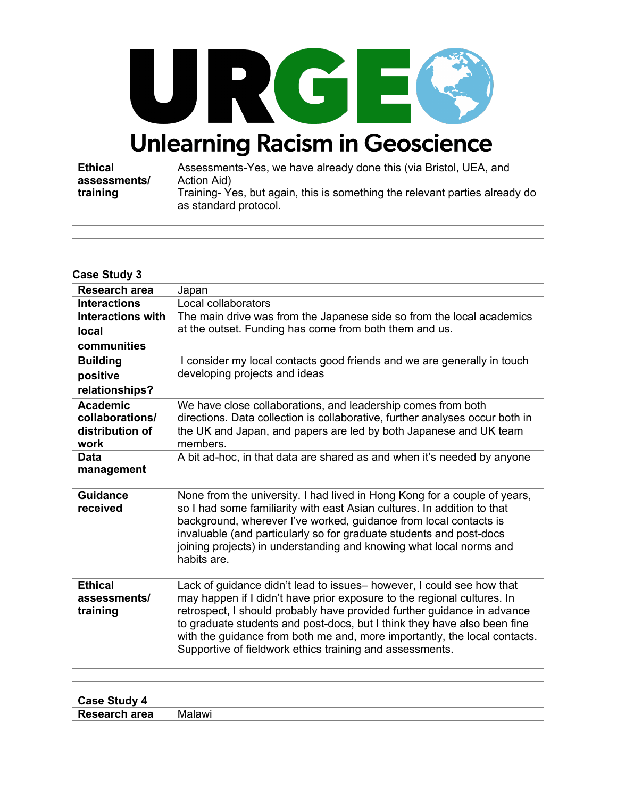

| Ethical      | Assessments-Yes, we have already done this (via Bristol, UEA, and          |
|--------------|----------------------------------------------------------------------------|
| assessments/ | Action Aid)                                                                |
| training     | Training-Yes, but again, this is something the relevant parties already do |
|              | as standard protocol.                                                      |

| <b>Case Study 3</b>                                           |                                                                                                                                                                                                                                                                                                                                                                                                                                                  |
|---------------------------------------------------------------|--------------------------------------------------------------------------------------------------------------------------------------------------------------------------------------------------------------------------------------------------------------------------------------------------------------------------------------------------------------------------------------------------------------------------------------------------|
| <b>Research area</b>                                          | Japan                                                                                                                                                                                                                                                                                                                                                                                                                                            |
| <b>Interactions</b>                                           | Local collaborators                                                                                                                                                                                                                                                                                                                                                                                                                              |
| <b>Interactions with</b>                                      | The main drive was from the Japanese side so from the local academics                                                                                                                                                                                                                                                                                                                                                                            |
| local                                                         | at the outset. Funding has come from both them and us.                                                                                                                                                                                                                                                                                                                                                                                           |
| communities                                                   |                                                                                                                                                                                                                                                                                                                                                                                                                                                  |
| <b>Building</b>                                               | I consider my local contacts good friends and we are generally in touch                                                                                                                                                                                                                                                                                                                                                                          |
| positive                                                      | developing projects and ideas                                                                                                                                                                                                                                                                                                                                                                                                                    |
| relationships?                                                |                                                                                                                                                                                                                                                                                                                                                                                                                                                  |
| <b>Academic</b><br>collaborations/<br>distribution of<br>work | We have close collaborations, and leadership comes from both<br>directions. Data collection is collaborative, further analyses occur both in<br>the UK and Japan, and papers are led by both Japanese and UK team<br>members.                                                                                                                                                                                                                    |
| <b>Data</b><br>management                                     | A bit ad-hoc, in that data are shared as and when it's needed by anyone                                                                                                                                                                                                                                                                                                                                                                          |
| <b>Guidance</b><br>received                                   | None from the university. I had lived in Hong Kong for a couple of years,<br>so I had some familiarity with east Asian cultures. In addition to that<br>background, wherever I've worked, guidance from local contacts is<br>invaluable (and particularly so for graduate students and post-docs<br>joining projects) in understanding and knowing what local norms and<br>habits are.                                                           |
| <b>Ethical</b><br>assessments/<br>training                    | Lack of guidance didn't lead to issues- however, I could see how that<br>may happen if I didn't have prior exposure to the regional cultures. In<br>retrospect, I should probably have provided further guidance in advance<br>to graduate students and post-docs, but I think they have also been fine<br>with the guidance from both me and, more importantly, the local contacts.<br>Supportive of fieldwork ethics training and assessments. |
|                                                               |                                                                                                                                                                                                                                                                                                                                                                                                                                                  |

| <b>Case Study 4</b>  |        |
|----------------------|--------|
| <b>Research area</b> | Malawi |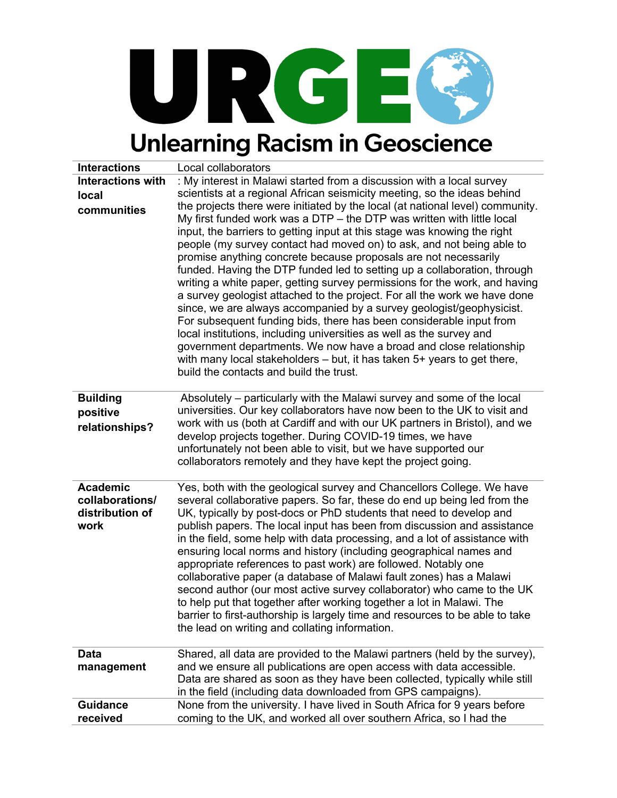

| <b>Interactions</b>      | Local collaborators                                                                                                                                                                                                                                                                                                                                                                                                                                                                                                                                                                                                                                                                                                                                                                                                                                                                                                                                                                                                                         |
|--------------------------|---------------------------------------------------------------------------------------------------------------------------------------------------------------------------------------------------------------------------------------------------------------------------------------------------------------------------------------------------------------------------------------------------------------------------------------------------------------------------------------------------------------------------------------------------------------------------------------------------------------------------------------------------------------------------------------------------------------------------------------------------------------------------------------------------------------------------------------------------------------------------------------------------------------------------------------------------------------------------------------------------------------------------------------------|
| <b>Interactions with</b> | : My interest in Malawi started from a discussion with a local survey                                                                                                                                                                                                                                                                                                                                                                                                                                                                                                                                                                                                                                                                                                                                                                                                                                                                                                                                                                       |
| local                    | scientists at a regional African seismicity meeting, so the ideas behind                                                                                                                                                                                                                                                                                                                                                                                                                                                                                                                                                                                                                                                                                                                                                                                                                                                                                                                                                                    |
| communities              | the projects there were initiated by the local (at national level) community.<br>My first funded work was a $DTP -$ the DTP was written with little local<br>input, the barriers to getting input at this stage was knowing the right<br>people (my survey contact had moved on) to ask, and not being able to<br>promise anything concrete because proposals are not necessarily<br>funded. Having the DTP funded led to setting up a collaboration, through<br>writing a white paper, getting survey permissions for the work, and having<br>a survey geologist attached to the project. For all the work we have done<br>since, we are always accompanied by a survey geologist/geophysicist.<br>For subsequent funding bids, there has been considerable input from<br>local institutions, including universities as well as the survey and<br>government departments. We now have a broad and close relationship<br>with many local stakeholders – but, it has taken 5+ years to get there,<br>build the contacts and build the trust. |
| <b>Building</b>          | Absolutely – particularly with the Malawi survey and some of the local                                                                                                                                                                                                                                                                                                                                                                                                                                                                                                                                                                                                                                                                                                                                                                                                                                                                                                                                                                      |
| positive                 | universities. Our key collaborators have now been to the UK to visit and                                                                                                                                                                                                                                                                                                                                                                                                                                                                                                                                                                                                                                                                                                                                                                                                                                                                                                                                                                    |
| relationships?           | work with us (both at Cardiff and with our UK partners in Bristol), and we                                                                                                                                                                                                                                                                                                                                                                                                                                                                                                                                                                                                                                                                                                                                                                                                                                                                                                                                                                  |
|                          | develop projects together. During COVID-19 times, we have<br>unfortunately not been able to visit, but we have supported our                                                                                                                                                                                                                                                                                                                                                                                                                                                                                                                                                                                                                                                                                                                                                                                                                                                                                                                |
|                          | collaborators remotely and they have kept the project going.                                                                                                                                                                                                                                                                                                                                                                                                                                                                                                                                                                                                                                                                                                                                                                                                                                                                                                                                                                                |
|                          |                                                                                                                                                                                                                                                                                                                                                                                                                                                                                                                                                                                                                                                                                                                                                                                                                                                                                                                                                                                                                                             |
| <b>Academic</b>          | Yes, both with the geological survey and Chancellors College. We have                                                                                                                                                                                                                                                                                                                                                                                                                                                                                                                                                                                                                                                                                                                                                                                                                                                                                                                                                                       |
| collaborations/          | several collaborative papers. So far, these do end up being led from the                                                                                                                                                                                                                                                                                                                                                                                                                                                                                                                                                                                                                                                                                                                                                                                                                                                                                                                                                                    |
| distribution of          | UK, typically by post-docs or PhD students that need to develop and                                                                                                                                                                                                                                                                                                                                                                                                                                                                                                                                                                                                                                                                                                                                                                                                                                                                                                                                                                         |
| work                     | publish papers. The local input has been from discussion and assistance                                                                                                                                                                                                                                                                                                                                                                                                                                                                                                                                                                                                                                                                                                                                                                                                                                                                                                                                                                     |
|                          | in the field, some help with data processing, and a lot of assistance with                                                                                                                                                                                                                                                                                                                                                                                                                                                                                                                                                                                                                                                                                                                                                                                                                                                                                                                                                                  |
|                          | ensuring local norms and history (including geographical names and                                                                                                                                                                                                                                                                                                                                                                                                                                                                                                                                                                                                                                                                                                                                                                                                                                                                                                                                                                          |
|                          | appropriate references to past work) are followed. Notably one                                                                                                                                                                                                                                                                                                                                                                                                                                                                                                                                                                                                                                                                                                                                                                                                                                                                                                                                                                              |
|                          | collaborative paper (a database of Malawi fault zones) has a Malawi<br>second author (our most active survey collaborator) who came to the UK                                                                                                                                                                                                                                                                                                                                                                                                                                                                                                                                                                                                                                                                                                                                                                                                                                                                                               |
|                          | to help put that together after working together a lot in Malawi. The                                                                                                                                                                                                                                                                                                                                                                                                                                                                                                                                                                                                                                                                                                                                                                                                                                                                                                                                                                       |
|                          | barrier to first-authorship is largely time and resources to be able to take                                                                                                                                                                                                                                                                                                                                                                                                                                                                                                                                                                                                                                                                                                                                                                                                                                                                                                                                                                |
|                          | the lead on writing and collating information.                                                                                                                                                                                                                                                                                                                                                                                                                                                                                                                                                                                                                                                                                                                                                                                                                                                                                                                                                                                              |
|                          |                                                                                                                                                                                                                                                                                                                                                                                                                                                                                                                                                                                                                                                                                                                                                                                                                                                                                                                                                                                                                                             |
| Data                     | Shared, all data are provided to the Malawi partners (held by the survey),                                                                                                                                                                                                                                                                                                                                                                                                                                                                                                                                                                                                                                                                                                                                                                                                                                                                                                                                                                  |
| management               | and we ensure all publications are open access with data accessible.                                                                                                                                                                                                                                                                                                                                                                                                                                                                                                                                                                                                                                                                                                                                                                                                                                                                                                                                                                        |
|                          | Data are shared as soon as they have been collected, typically while still                                                                                                                                                                                                                                                                                                                                                                                                                                                                                                                                                                                                                                                                                                                                                                                                                                                                                                                                                                  |
|                          | in the field (including data downloaded from GPS campaigns).                                                                                                                                                                                                                                                                                                                                                                                                                                                                                                                                                                                                                                                                                                                                                                                                                                                                                                                                                                                |
| <b>Guidance</b>          | None from the university. I have lived in South Africa for 9 years before                                                                                                                                                                                                                                                                                                                                                                                                                                                                                                                                                                                                                                                                                                                                                                                                                                                                                                                                                                   |
| received                 | coming to the UK, and worked all over southern Africa, so I had the                                                                                                                                                                                                                                                                                                                                                                                                                                                                                                                                                                                                                                                                                                                                                                                                                                                                                                                                                                         |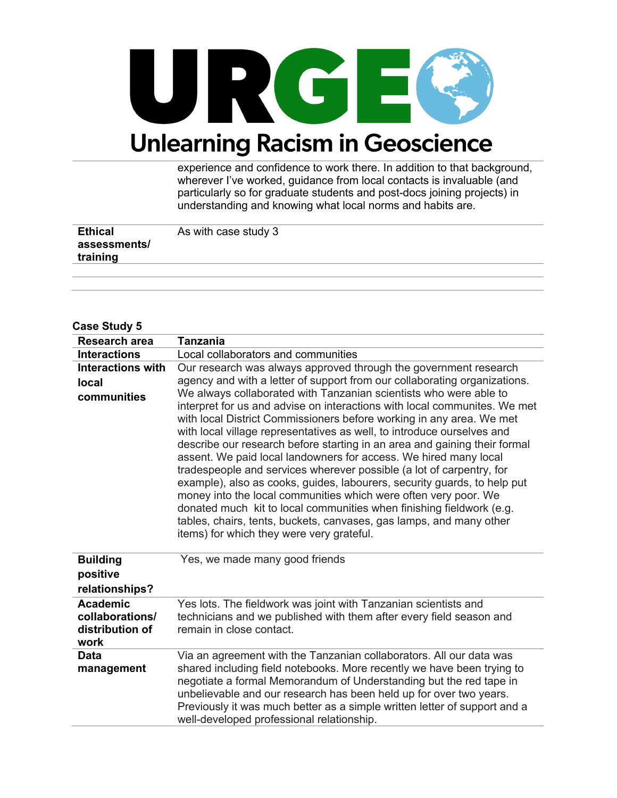

experience and confidence to work there. In addition to that background, wherever I've worked, guidance from local contacts is invaluable (and particularly so for graduate students and post-docs joining projects) in understanding and knowing what local norms and habits are.

| <b>Ethical</b> | As with case study 3 |
|----------------|----------------------|
| assessments/   |                      |
| training       |                      |

#### **Case Study 5**

| Research area                                                 | <b>Tanzania</b>                                                                                                                                                                                                                                                                                                                                                                                                                                                                                                                                                                                                                                                                                                                                                                                                                                                                                                                                                                                                       |
|---------------------------------------------------------------|-----------------------------------------------------------------------------------------------------------------------------------------------------------------------------------------------------------------------------------------------------------------------------------------------------------------------------------------------------------------------------------------------------------------------------------------------------------------------------------------------------------------------------------------------------------------------------------------------------------------------------------------------------------------------------------------------------------------------------------------------------------------------------------------------------------------------------------------------------------------------------------------------------------------------------------------------------------------------------------------------------------------------|
| <b>Interactions</b>                                           | Local collaborators and communities                                                                                                                                                                                                                                                                                                                                                                                                                                                                                                                                                                                                                                                                                                                                                                                                                                                                                                                                                                                   |
| <b>Interactions with</b><br><b>local</b><br>communities       | Our research was always approved through the government research<br>agency and with a letter of support from our collaborating organizations.<br>We always collaborated with Tanzanian scientists who were able to<br>interpret for us and advise on interactions with local communites. We met<br>with local District Commissioners before working in any area. We met<br>with local village representatives as well, to introduce ourselves and<br>describe our research before starting in an area and gaining their formal<br>assent. We paid local landowners for access. We hired many local<br>tradespeople and services wherever possible (a lot of carpentry, for<br>example), also as cooks, guides, labourers, security guards, to help put<br>money into the local communities which were often very poor. We<br>donated much kit to local communities when finishing fieldwork (e.g.<br>tables, chairs, tents, buckets, canvases, gas lamps, and many other<br>items) for which they were very grateful. |
| <b>Building</b><br>positive<br>relationships?                 | Yes, we made many good friends                                                                                                                                                                                                                                                                                                                                                                                                                                                                                                                                                                                                                                                                                                                                                                                                                                                                                                                                                                                        |
| <b>Academic</b><br>collaborations/<br>distribution of<br>work | Yes lots. The fieldwork was joint with Tanzanian scientists and<br>technicians and we published with them after every field season and<br>remain in close contact.                                                                                                                                                                                                                                                                                                                                                                                                                                                                                                                                                                                                                                                                                                                                                                                                                                                    |
| <b>Data</b><br>management                                     | Via an agreement with the Tanzanian collaborators. All our data was<br>shared including field notebooks. More recently we have been trying to<br>negotiate a formal Memorandum of Understanding but the red tape in<br>unbelievable and our research has been held up for over two years.<br>Previously it was much better as a simple written letter of support and a<br>well-developed professional relationship.                                                                                                                                                                                                                                                                                                                                                                                                                                                                                                                                                                                                   |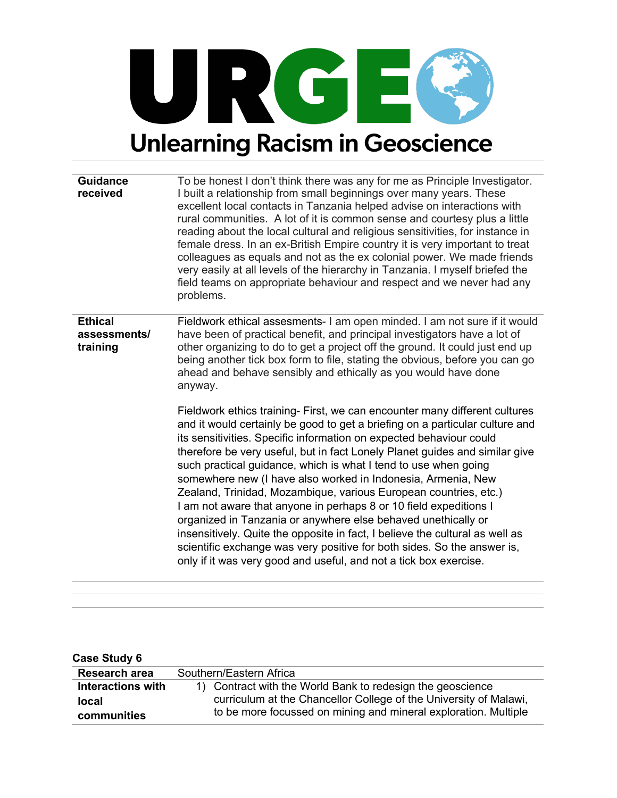

**Guidance received** To be honest I don't think there was any for me as Principle Investigator. I built a relationship from small beginnings over many years. These excellent local contacts in Tanzania helped advise on interactions with rural communities. A lot of it is common sense and courtesy plus a little reading about the local cultural and religious sensitivities, for instance in female dress. In an ex-British Empire country it is very important to treat colleagues as equals and not as the ex colonial power. We made friends very easily at all levels of the hierarchy in Tanzania. I myself briefed the field teams on appropriate behaviour and respect and we never had any problems. **Ethical assessments/ training** Fieldwork ethical assesments- I am open minded. I am not sure if it would have been of practical benefit, and principal investigators have a lot of other organizing to do to get a project off the ground. It could just end up being another tick box form to file, stating the obvious, before you can go ahead and behave sensibly and ethically as you would have done anyway. Fieldwork ethics training- First, we can encounter many different cultures and it would certainly be good to get a briefing on a particular culture and its sensitivities. Specific information on expected behaviour could therefore be very useful, but in fact Lonely Planet guides and similar give such practical guidance, which is what I tend to use when going somewhere new (I have also worked in Indonesia, Armenia, New Zealand, Trinidad, Mozambique, various European countries, etc.) I am not aware that anyone in perhaps 8 or 10 field expeditions I organized in Tanzania or anywhere else behaved unethically or

insensitively. Quite the opposite in fact, I believe the cultural as well as scientific exchange was very positive for both sides. So the answer is, only if it was very good and useful, and not a tick box exercise.

| Case Study 6             |                                                                   |
|--------------------------|-------------------------------------------------------------------|
| Research area            | Southern/Eastern Africa                                           |
| <b>Interactions with</b> | 1) Contract with the World Bank to redesign the geoscience        |
| <b>local</b>             | curriculum at the Chancellor College of the University of Malawi, |
| communities              | to be more focussed on mining and mineral exploration. Multiple   |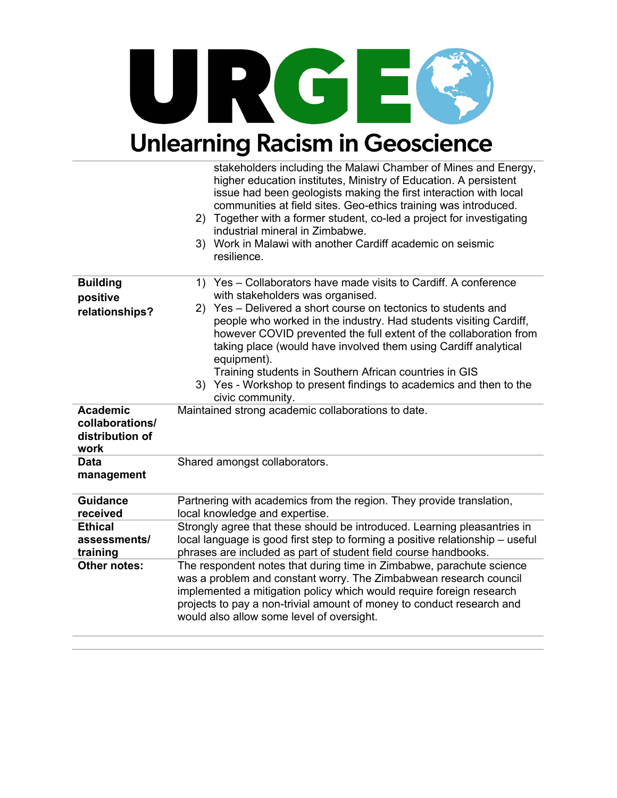

|                                                               | stakeholders including the Malawi Chamber of Mines and Energy,<br>higher education institutes, Ministry of Education. A persistent<br>issue had been geologists making the first interaction with local<br>communities at field sites. Geo-ethics training was introduced.                                                                                                                                                    |
|---------------------------------------------------------------|-------------------------------------------------------------------------------------------------------------------------------------------------------------------------------------------------------------------------------------------------------------------------------------------------------------------------------------------------------------------------------------------------------------------------------|
|                                                               | 2) Together with a former student, co-led a project for investigating<br>industrial mineral in Zimbabwe.                                                                                                                                                                                                                                                                                                                      |
|                                                               | Work in Malawi with another Cardiff academic on seismic<br>3)<br>resilience.                                                                                                                                                                                                                                                                                                                                                  |
| <b>Building</b><br>positive                                   | Yes - Collaborators have made visits to Cardiff. A conference<br>1)<br>with stakeholders was organised.                                                                                                                                                                                                                                                                                                                       |
| relationships?                                                | Yes – Delivered a short course on tectonics to students and<br>2)<br>people who worked in the industry. Had students visiting Cardiff,<br>however COVID prevented the full extent of the collaboration from<br>taking place (would have involved them using Cardiff analytical<br>equipment).<br>Training students in Southern African countries in GIS<br>3) Yes - Workshop to present findings to academics and then to the |
| <b>Academic</b><br>collaborations/<br>distribution of<br>work | civic community.<br>Maintained strong academic collaborations to date.                                                                                                                                                                                                                                                                                                                                                        |
| <b>Data</b><br>management                                     | Shared amongst collaborators.                                                                                                                                                                                                                                                                                                                                                                                                 |
| <b>Guidance</b><br>received                                   | Partnering with academics from the region. They provide translation,<br>local knowledge and expertise.                                                                                                                                                                                                                                                                                                                        |
| <b>Ethical</b><br>assessments/<br>training                    | Strongly agree that these should be introduced. Learning pleasantries in<br>local language is good first step to forming a positive relationship - useful<br>phrases are included as part of student field course handbooks.                                                                                                                                                                                                  |
| Other notes:                                                  | The respondent notes that during time in Zimbabwe, parachute science<br>was a problem and constant worry. The Zimbabwean research council<br>implemented a mitigation policy which would require foreign research<br>projects to pay a non-trivial amount of money to conduct research and<br>would also allow some level of oversight.                                                                                       |